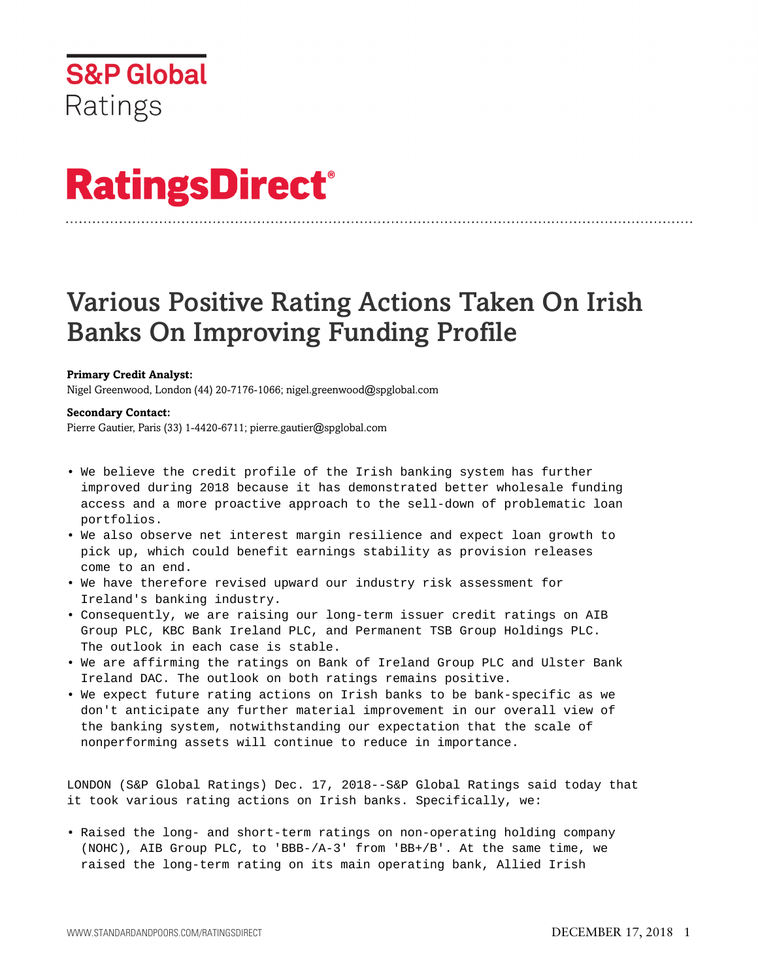# **RatingsDirect®**

# Various Positive Rating Actions Taken On Irish Banks On Improving Funding Profile

# **Primary Credit Analyst:**

Nigel Greenwood, London (44) 20-7176-1066; nigel.greenwood@spglobal.com

# **Secondary Contact:**

Pierre Gautier, Paris (33) 1-4420-6711; pierre.gautier@spglobal.com

- We believe the credit profile of the Irish banking system has further improved during 2018 because it has demonstrated better wholesale funding access and a more proactive approach to the sell-down of problematic loan portfolios.
- We also observe net interest margin resilience and expect loan growth to pick up, which could benefit earnings stability as provision releases come to an end.
- We have therefore revised upward our industry risk assessment for Ireland's banking industry.
- Consequently, we are raising our long-term issuer credit ratings on AIB Group PLC, KBC Bank Ireland PLC, and Permanent TSB Group Holdings PLC. The outlook in each case is stable.
- We are affirming the ratings on Bank of Ireland Group PLC and Ulster Bank Ireland DAC. The outlook on both ratings remains positive.
- We expect future rating actions on Irish banks to be bank-specific as we don't anticipate any further material improvement in our overall view of the banking system, notwithstanding our expectation that the scale of nonperforming assets will continue to reduce in importance.

LONDON (S&P Global Ratings) Dec. 17, 2018--S&P Global Ratings said today that it took various rating actions on Irish banks. Specifically, we:

• Raised the long- and short-term ratings on non-operating holding company (NOHC), AIB Group PLC, to 'BBB-/A-3' from 'BB+/B'. At the same time, we raised the long-term rating on its main operating bank, Allied Irish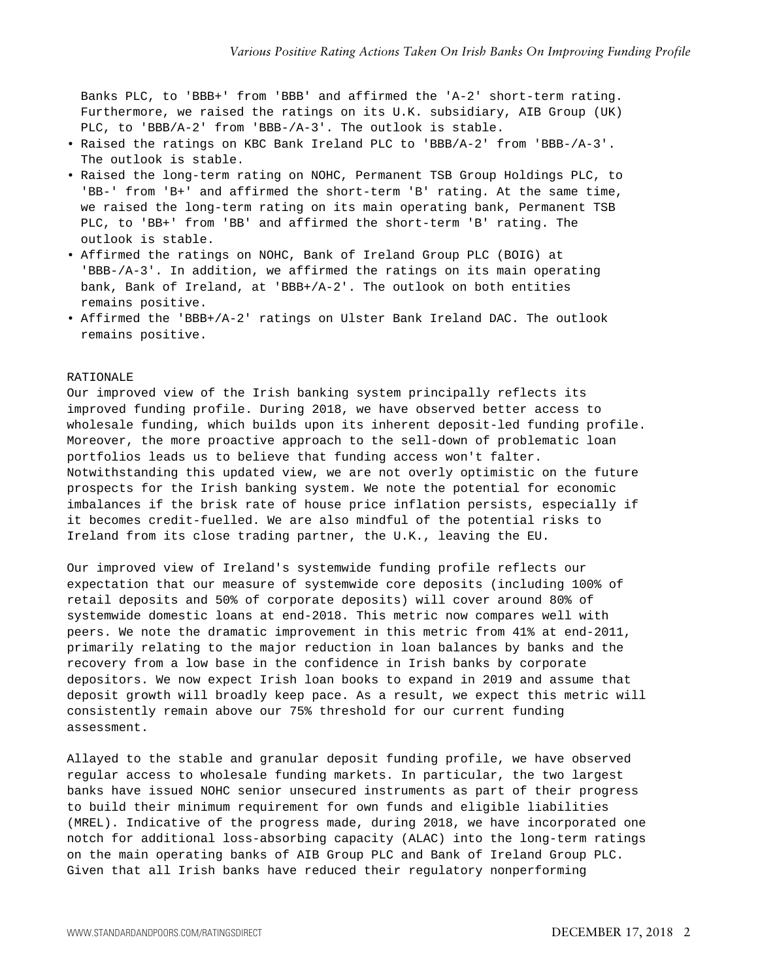Banks PLC, to 'BBB+' from 'BBB' and affirmed the 'A-2' short-term rating. Furthermore, we raised the ratings on its U.K. subsidiary, AIB Group (UK) PLC, to 'BBB/A-2' from 'BBB-/A-3'. The outlook is stable.

- Raised the ratings on KBC Bank Ireland PLC to 'BBB/A-2' from 'BBB-/A-3'. The outlook is stable.
- Raised the long-term rating on NOHC, Permanent TSB Group Holdings PLC, to 'BB-' from 'B+' and affirmed the short-term 'B' rating. At the same time, we raised the long-term rating on its main operating bank, Permanent TSB PLC, to 'BB+' from 'BB' and affirmed the short-term 'B' rating. The outlook is stable.
- Affirmed the ratings on NOHC, Bank of Ireland Group PLC (BOIG) at 'BBB-/A-3'. In addition, we affirmed the ratings on its main operating bank, Bank of Ireland, at 'BBB+/A-2'. The outlook on both entities remains positive.
- Affirmed the 'BBB+/A-2' ratings on Ulster Bank Ireland DAC. The outlook remains positive.

#### RATIONALE

Our improved view of the Irish banking system principally reflects its improved funding profile. During 2018, we have observed better access to wholesale funding, which builds upon its inherent deposit-led funding profile. Moreover, the more proactive approach to the sell-down of problematic loan portfolios leads us to believe that funding access won't falter. Notwithstanding this updated view, we are not overly optimistic on the future prospects for the Irish banking system. We note the potential for economic imbalances if the brisk rate of house price inflation persists, especially if it becomes credit-fuelled. We are also mindful of the potential risks to Ireland from its close trading partner, the U.K., leaving the EU.

Our improved view of Ireland's systemwide funding profile reflects our expectation that our measure of systemwide core deposits (including 100% of retail deposits and 50% of corporate deposits) will cover around 80% of systemwide domestic loans at end-2018. This metric now compares well with peers. We note the dramatic improvement in this metric from 41% at end-2011, primarily relating to the major reduction in loan balances by banks and the recovery from a low base in the confidence in Irish banks by corporate depositors. We now expect Irish loan books to expand in 2019 and assume that deposit growth will broadly keep pace. As a result, we expect this metric will consistently remain above our 75% threshold for our current funding assessment.

Allayed to the stable and granular deposit funding profile, we have observed regular access to wholesale funding markets. In particular, the two largest banks have issued NOHC senior unsecured instruments as part of their progress to build their minimum requirement for own funds and eligible liabilities (MREL). Indicative of the progress made, during 2018, we have incorporated one notch for additional loss-absorbing capacity (ALAC) into the long-term ratings on the main operating banks of AIB Group PLC and Bank of Ireland Group PLC. Given that all Irish banks have reduced their regulatory nonperforming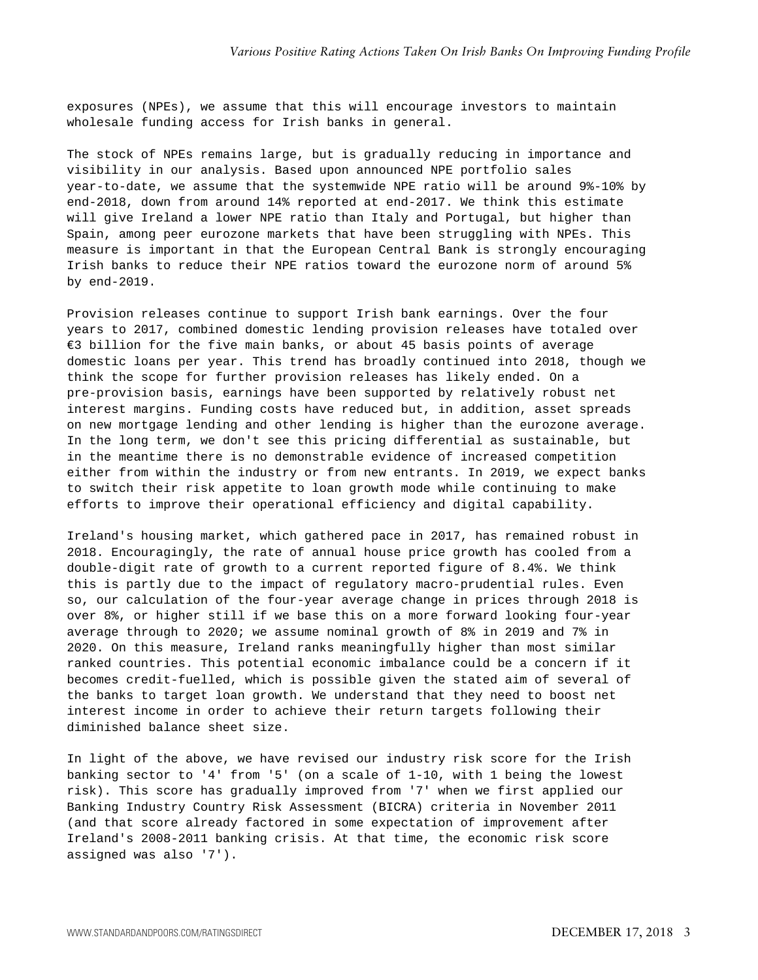exposures (NPEs), we assume that this will encourage investors to maintain wholesale funding access for Irish banks in general.

The stock of NPEs remains large, but is gradually reducing in importance and visibility in our analysis. Based upon announced NPE portfolio sales year-to-date, we assume that the systemwide NPE ratio will be around 9%-10% by end-2018, down from around 14% reported at end-2017. We think this estimate will give Ireland a lower NPE ratio than Italy and Portugal, but higher than Spain, among peer eurozone markets that have been struggling with NPEs. This measure is important in that the European Central Bank is strongly encouraging Irish banks to reduce their NPE ratios toward the eurozone norm of around 5% by end-2019.

Provision releases continue to support Irish bank earnings. Over the four years to 2017, combined domestic lending provision releases have totaled over €3 billion for the five main banks, or about 45 basis points of average domestic loans per year. This trend has broadly continued into 2018, though we think the scope for further provision releases has likely ended. On a pre-provision basis, earnings have been supported by relatively robust net interest margins. Funding costs have reduced but, in addition, asset spreads on new mortgage lending and other lending is higher than the eurozone average. In the long term, we don't see this pricing differential as sustainable, but in the meantime there is no demonstrable evidence of increased competition either from within the industry or from new entrants. In 2019, we expect banks to switch their risk appetite to loan growth mode while continuing to make efforts to improve their operational efficiency and digital capability.

Ireland's housing market, which gathered pace in 2017, has remained robust in 2018. Encouragingly, the rate of annual house price growth has cooled from a double-digit rate of growth to a current reported figure of 8.4%. We think this is partly due to the impact of regulatory macro-prudential rules. Even so, our calculation of the four-year average change in prices through 2018 is over 8%, or higher still if we base this on a more forward looking four-year average through to 2020; we assume nominal growth of 8% in 2019 and 7% in 2020. On this measure, Ireland ranks meaningfully higher than most similar ranked countries. This potential economic imbalance could be a concern if it becomes credit-fuelled, which is possible given the stated aim of several of the banks to target loan growth. We understand that they need to boost net interest income in order to achieve their return targets following their diminished balance sheet size.

In light of the above, we have revised our industry risk score for the Irish banking sector to '4' from '5' (on a scale of 1-10, with 1 being the lowest risk). This score has gradually improved from '7' when we first applied our Banking Industry Country Risk Assessment (BICRA) criteria in November 2011 (and that score already factored in some expectation of improvement after Ireland's 2008-2011 banking crisis. At that time, the economic risk score assigned was also '7').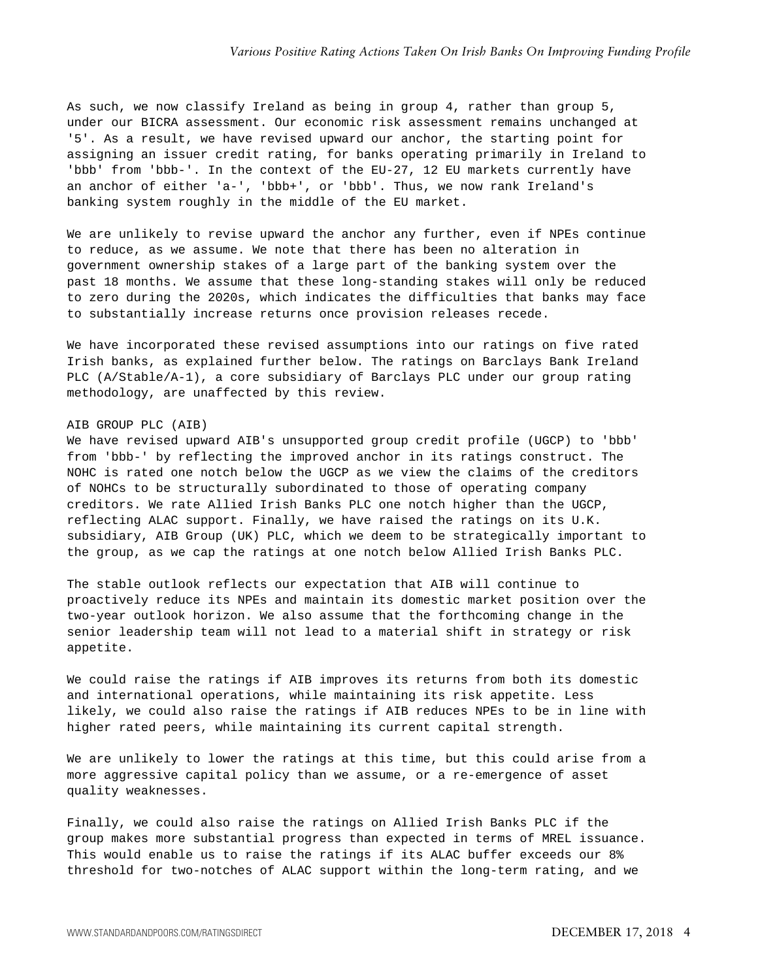As such, we now classify Ireland as being in group 4, rather than group 5, under our BICRA assessment. Our economic risk assessment remains unchanged at '5'. As a result, we have revised upward our anchor, the starting point for assigning an issuer credit rating, for banks operating primarily in Ireland to 'bbb' from 'bbb-'. In the context of the EU-27, 12 EU markets currently have an anchor of either 'a-', 'bbb+', or 'bbb'. Thus, we now rank Ireland's banking system roughly in the middle of the EU market.

We are unlikely to revise upward the anchor any further, even if NPEs continue to reduce, as we assume. We note that there has been no alteration in government ownership stakes of a large part of the banking system over the past 18 months. We assume that these long-standing stakes will only be reduced to zero during the 2020s, which indicates the difficulties that banks may face to substantially increase returns once provision releases recede.

We have incorporated these revised assumptions into our ratings on five rated Irish banks, as explained further below. The ratings on Barclays Bank Ireland PLC (A/Stable/A-1), a core subsidiary of Barclays PLC under our group rating methodology, are unaffected by this review.

#### AIB GROUP PLC (AIB)

We have revised upward AIB's unsupported group credit profile (UGCP) to 'bbb' from 'bbb-' by reflecting the improved anchor in its ratings construct. The NOHC is rated one notch below the UGCP as we view the claims of the creditors of NOHCs to be structurally subordinated to those of operating company creditors. We rate Allied Irish Banks PLC one notch higher than the UGCP, reflecting ALAC support. Finally, we have raised the ratings on its U.K. subsidiary, AIB Group (UK) PLC, which we deem to be strategically important to the group, as we cap the ratings at one notch below Allied Irish Banks PLC.

The stable outlook reflects our expectation that AIB will continue to proactively reduce its NPEs and maintain its domestic market position over the two-year outlook horizon. We also assume that the forthcoming change in the senior leadership team will not lead to a material shift in strategy or risk appetite.

We could raise the ratings if AIB improves its returns from both its domestic and international operations, while maintaining its risk appetite. Less likely, we could also raise the ratings if AIB reduces NPEs to be in line with higher rated peers, while maintaining its current capital strength.

We are unlikely to lower the ratings at this time, but this could arise from a more aggressive capital policy than we assume, or a re-emergence of asset quality weaknesses.

Finally, we could also raise the ratings on Allied Irish Banks PLC if the group makes more substantial progress than expected in terms of MREL issuance. This would enable us to raise the ratings if its ALAC buffer exceeds our 8% threshold for two-notches of ALAC support within the long-term rating, and we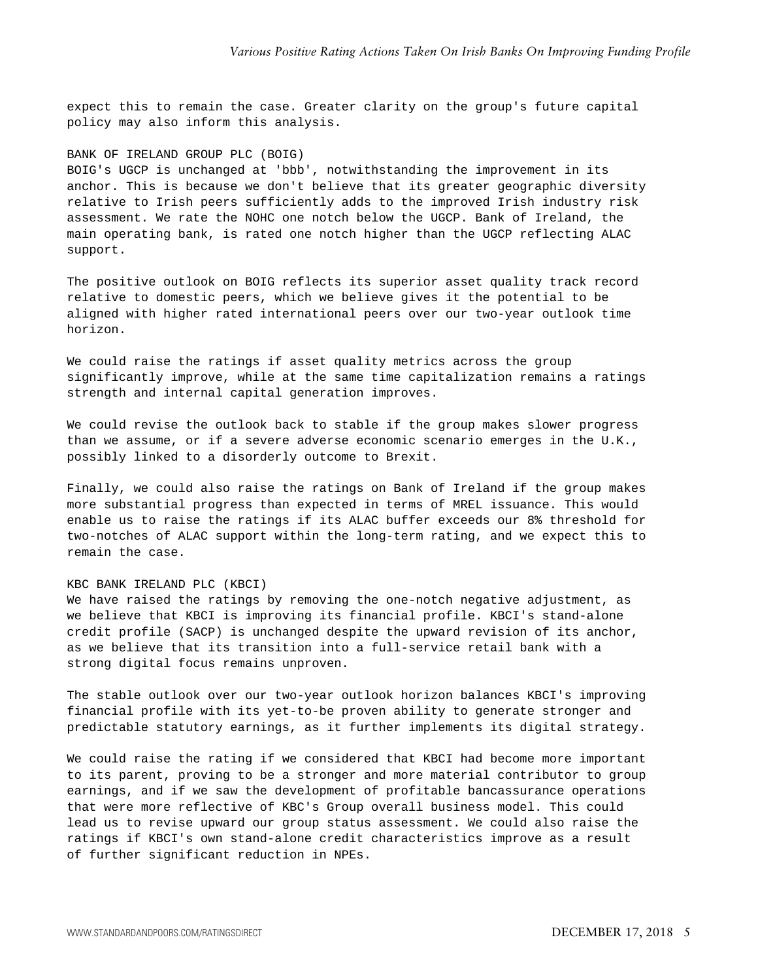expect this to remain the case. Greater clarity on the group's future capital policy may also inform this analysis.

#### BANK OF IRELAND GROUP PLC (BOIG)

BOIG's UGCP is unchanged at 'bbb', notwithstanding the improvement in its anchor. This is because we don't believe that its greater geographic diversity relative to Irish peers sufficiently adds to the improved Irish industry risk assessment. We rate the NOHC one notch below the UGCP. Bank of Ireland, the main operating bank, is rated one notch higher than the UGCP reflecting ALAC support.

The positive outlook on BOIG reflects its superior asset quality track record relative to domestic peers, which we believe gives it the potential to be aligned with higher rated international peers over our two-year outlook time horizon.

We could raise the ratings if asset quality metrics across the group significantly improve, while at the same time capitalization remains a ratings strength and internal capital generation improves.

We could revise the outlook back to stable if the group makes slower progress than we assume, or if a severe adverse economic scenario emerges in the U.K., possibly linked to a disorderly outcome to Brexit.

Finally, we could also raise the ratings on Bank of Ireland if the group makes more substantial progress than expected in terms of MREL issuance. This would enable us to raise the ratings if its ALAC buffer exceeds our 8% threshold for two-notches of ALAC support within the long-term rating, and we expect this to remain the case.

# KBC BANK IRELAND PLC (KBCI)

We have raised the ratings by removing the one-notch negative adjustment, as we believe that KBCI is improving its financial profile. KBCI's stand-alone credit profile (SACP) is unchanged despite the upward revision of its anchor, as we believe that its transition into a full-service retail bank with a strong digital focus remains unproven.

The stable outlook over our two-year outlook horizon balances KBCI's improving financial profile with its yet-to-be proven ability to generate stronger and predictable statutory earnings, as it further implements its digital strategy.

We could raise the rating if we considered that KBCI had become more important to its parent, proving to be a stronger and more material contributor to group earnings, and if we saw the development of profitable bancassurance operations that were more reflective of KBC's Group overall business model. This could lead us to revise upward our group status assessment. We could also raise the ratings if KBCI's own stand-alone credit characteristics improve as a result of further significant reduction in NPEs.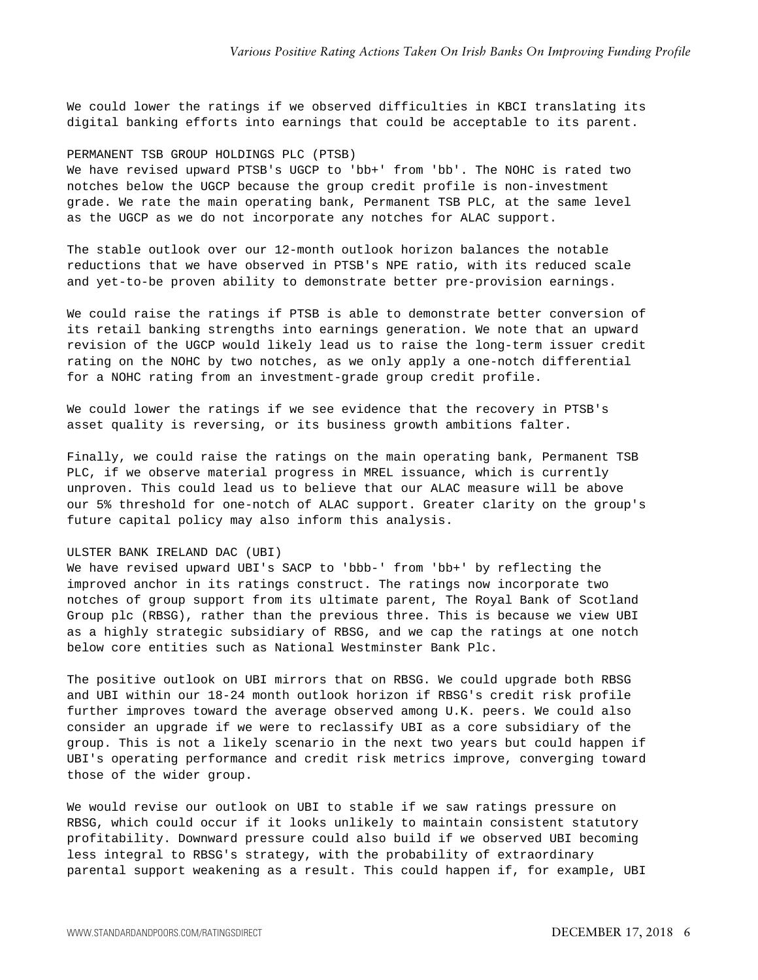We could lower the ratings if we observed difficulties in KBCI translating its digital banking efforts into earnings that could be acceptable to its parent.

#### PERMANENT TSB GROUP HOLDINGS PLC (PTSB)

We have revised upward PTSB's UGCP to 'bb+' from 'bb'. The NOHC is rated two notches below the UGCP because the group credit profile is non-investment grade. We rate the main operating bank, Permanent TSB PLC, at the same level as the UGCP as we do not incorporate any notches for ALAC support.

The stable outlook over our 12-month outlook horizon balances the notable reductions that we have observed in PTSB's NPE ratio, with its reduced scale and yet-to-be proven ability to demonstrate better pre-provision earnings.

We could raise the ratings if PTSB is able to demonstrate better conversion of its retail banking strengths into earnings generation. We note that an upward revision of the UGCP would likely lead us to raise the long-term issuer credit rating on the NOHC by two notches, as we only apply a one-notch differential for a NOHC rating from an investment-grade group credit profile.

We could lower the ratings if we see evidence that the recovery in PTSB's asset quality is reversing, or its business growth ambitions falter.

Finally, we could raise the ratings on the main operating bank, Permanent TSB PLC, if we observe material progress in MREL issuance, which is currently unproven. This could lead us to believe that our ALAC measure will be above our 5% threshold for one-notch of ALAC support. Greater clarity on the group's future capital policy may also inform this analysis.

## ULSTER BANK IRELAND DAC (UBI)

We have revised upward UBI's SACP to 'bbb-' from 'bb+' by reflecting the improved anchor in its ratings construct. The ratings now incorporate two notches of group support from its ultimate parent, The Royal Bank of Scotland Group plc (RBSG), rather than the previous three. This is because we view UBI as a highly strategic subsidiary of RBSG, and we cap the ratings at one notch below core entities such as National Westminster Bank Plc.

The positive outlook on UBI mirrors that on RBSG. We could upgrade both RBSG and UBI within our 18-24 month outlook horizon if RBSG's credit risk profile further improves toward the average observed among U.K. peers. We could also consider an upgrade if we were to reclassify UBI as a core subsidiary of the group. This is not a likely scenario in the next two years but could happen if UBI's operating performance and credit risk metrics improve, converging toward those of the wider group.

We would revise our outlook on UBI to stable if we saw ratings pressure on RBSG, which could occur if it looks unlikely to maintain consistent statutory profitability. Downward pressure could also build if we observed UBI becoming less integral to RBSG's strategy, with the probability of extraordinary parental support weakening as a result. This could happen if, for example, UBI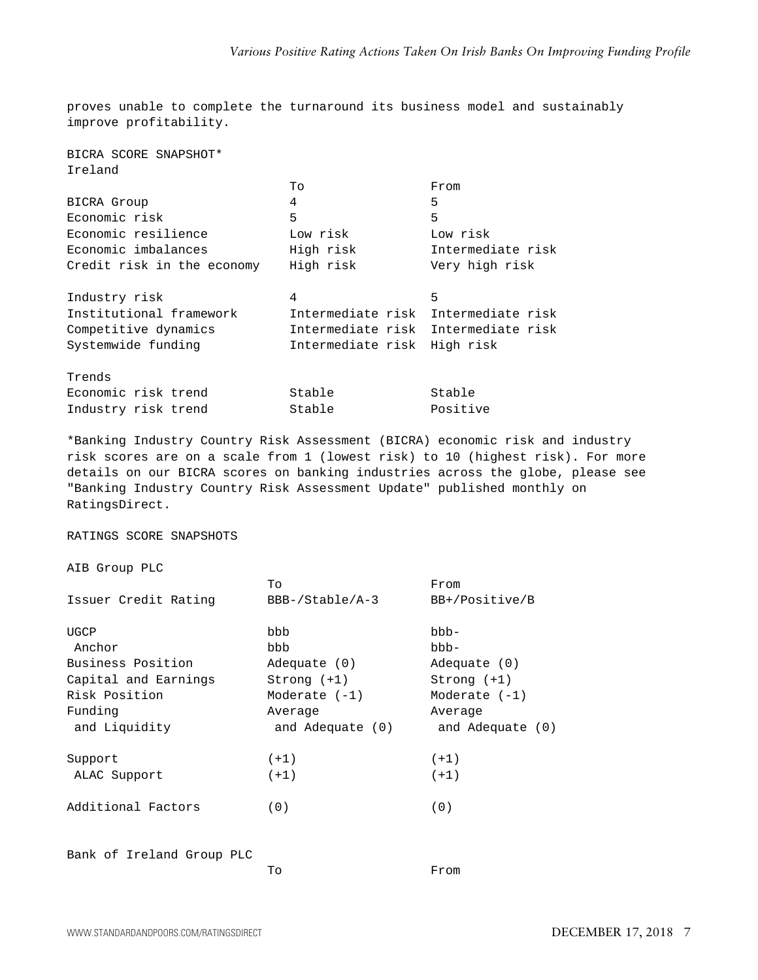proves unable to complete the turnaround its business model and sustainably improve profitability.

BICRA SCORE SNAPSHOT\* Ireland

|                            | To                                  | From              |
|----------------------------|-------------------------------------|-------------------|
| BICRA Group                | 4                                   | 5                 |
| Economic risk              | 5                                   | 5                 |
| Economic resilience        | Low risk                            | Low risk          |
| Economic imbalances        | High risk                           | Intermediate risk |
| Credit risk in the economy | High risk                           | Very high risk    |
|                            |                                     |                   |
| Industry risk              | 4                                   | 5                 |
| Institutional framework    | Intermediate risk                   | Intermediate risk |
| Competitive dynamics       | Intermediate risk Intermediate risk |                   |
| Systemwide funding         | Intermediate risk                   | High risk         |
|                            |                                     |                   |
| Trends                     |                                     |                   |
| Economic risk trend        | Stable                              | Stable            |
| Industry risk trend        | Stable                              | Positive          |

\*Banking Industry Country Risk Assessment (BICRA) economic risk and industry risk scores are on a scale from 1 (lowest risk) to 10 (highest risk). For more details on our BICRA scores on banking industries across the globe, please see "Banking Industry Country Risk Assessment Update" published monthly on RatingsDirect.

RATINGS SCORE SNAPSHOTS

AIB Group PLC

|                      | Tо                 | From               |
|----------------------|--------------------|--------------------|
| Issuer Credit Rating | BBB-/Stable/A-3    | BB+/Positive/B     |
| UGCP                 | bbb                | -ddd               |
| Anchor               | bbb                | bbb-               |
| Business Position    | Adequate (0)       | Adequate $(0)$     |
| Capital and Earnings | $Strong (+1)$      | $Strong (+1)$      |
| Risk Position        | Moderate $(-1)$    | Moderate $(-1)$    |
| Funding              | Average            | Average            |
| and Liquidity        | and Adequate $(0)$ | and Adequate $(0)$ |
| Support              | $(+1)$             | $(+1)$             |
| ALAC Support         | $(+1)$             | $(+1)$             |
| Additional Factors   | (0)                | (0)                |
|                      |                    |                    |
|                      |                    |                    |

Bank of Ireland Group PLC

To From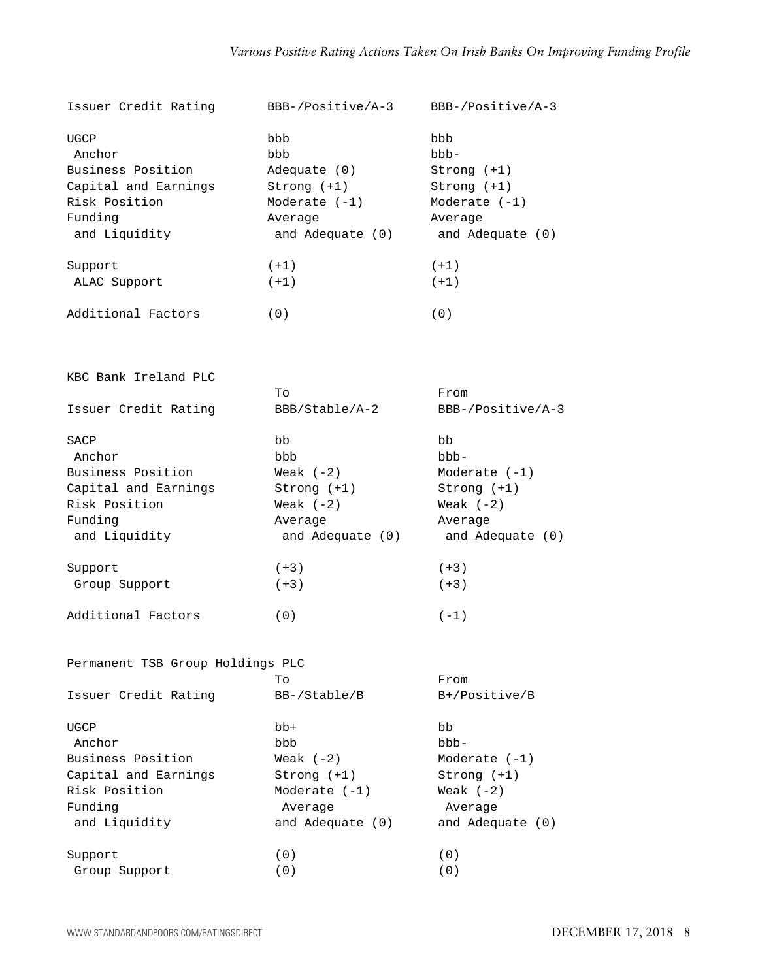| Issuer Credit Rating             | $BBB-/Positive/A-3$ | BBB-/Positive/A-3   |
|----------------------------------|---------------------|---------------------|
| UGCP                             | bbb                 | bbb                 |
| Anchor                           | bbb                 | bbb-                |
| Business Position                | Adequate (0)        | Strong (+1)         |
| Capital and Earnings             | Strong (+1)         | Strong $(+1)$       |
| Risk Position                    | Moderate $(-1)$     | Moderate $(-1)$     |
| Funding                          | Average             | Average             |
| and Liquidity                    | and Adequate (0)    | and Adequate (0)    |
| Support                          | $(+1)$              | $(+1)$              |
| ALAC Support                     | $(+1)$              | $(+1)$              |
| Additional Factors               | (0)                 | (0)                 |
| KBC Bank Ireland PLC             |                     |                     |
|                                  | To                  | From                |
| Issuer Credit Rating             | BBB/Stable/A-2      | $BBB-/Positive/A-3$ |
| SACP                             | bb                  | bb                  |
| Anchor                           | bbb                 | bbb-                |
| Business Position                | Weak $(-2)$         | Moderate $(-1)$     |
| Capital and Earnings             | Strong (+1)         | Strong (+1)         |
| Risk Position                    | Weak $(-2)$         | Weak $(-2)$         |
| Funding                          | Average             | Average             |
| and Liquidity                    | and Adequate (0)    | and Adequate (0)    |
| Support                          | $(+3)$              | $(+3)$              |
| Group Support                    | $(+3)$              | $(+3)$              |
| Additional Factors               | (0)                 | $(-1)$              |
| Permanent TSB Group Holdings PLC |                     |                     |
|                                  | Tо                  | From                |
| Issuer Credit Rating             | BB-/Stable/B        | B+/Positive/B       |
| UGCP                             | bb+                 | bb                  |
| Anchor                           | bbb                 | bbb-                |
| Business Position                | Weak $(-2)$         | Moderate $(-1)$     |
| Capital and Earnings             | Strong (+1)         | Strong (+1)         |
| Risk Position                    | Moderate $(-1)$     | Weak $(-2)$         |
| Funding                          | Average             | Average             |
| and Liquidity                    | and Adequate (0)    | and Adequate (0)    |
| Support                          | (0)                 | (0)                 |
| Group Support                    | (0)                 | (0)                 |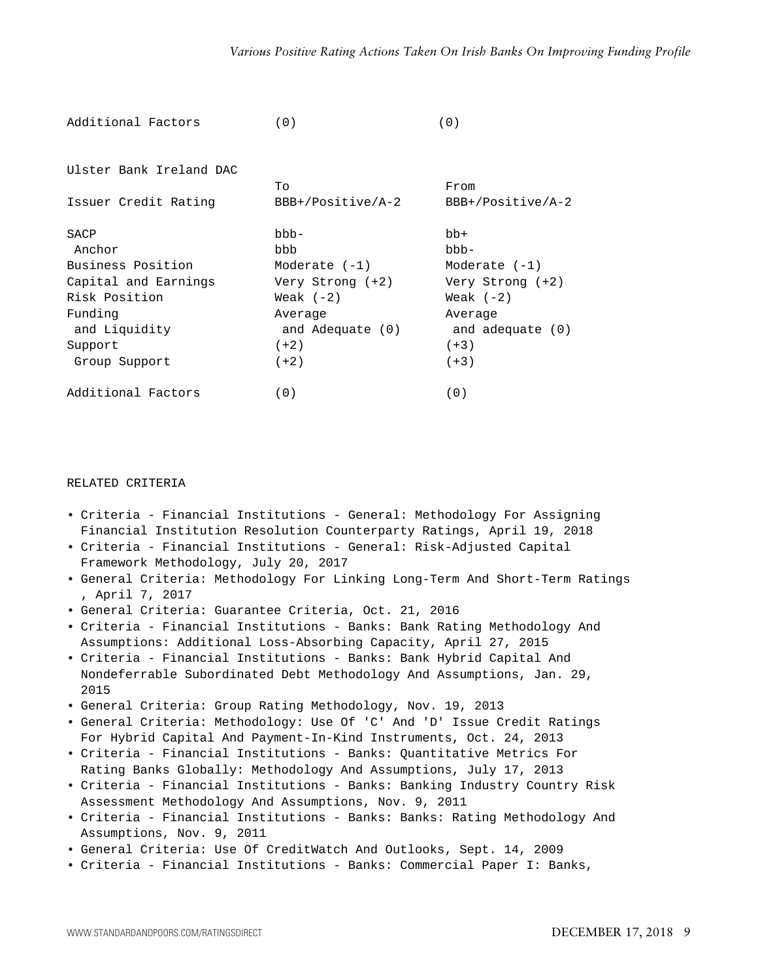| Additional Factors      | (0)                 | (0)                 |
|-------------------------|---------------------|---------------------|
|                         |                     |                     |
| Ulster Bank Ireland DAC |                     |                     |
|                         | To                  | From                |
| Issuer Credit Rating    | $BBB+/Positive/A-2$ | $BBB+/Positive/A-2$ |
| SACP                    | bbb-                | bb+                 |
| Anchor                  | bbb                 | -ddd                |
| Business Position       | Moderate $(-1)$     | Moderate $(-1)$     |
| Capital and Earnings    | Very Strong (+2)    | Very Strong (+2)    |
| Risk Position           | Weak $(-2)$         | Weak $(-2)$         |
| Funding                 | Average             | Average             |
| and Liquidity           | and Adequate (0)    | and adequate (0)    |
| Support                 | $(+2)$              | $(+3)$              |
| Group Support           | $(+2)$              | $(+3)$              |
| Additional Factors      | (0)                 | (0)                 |

# RELATED CRITERIA

- Criteria Financial Institutions General: Methodology For Assigning Financial Institution Resolution Counterparty Ratings, April 19, 2018
- Criteria Financial Institutions General: Risk-Adjusted Capital Framework Methodology, July 20, 2017
- General Criteria: Methodology For Linking Long-Term And Short-Term Ratings , April 7, 2017
- General Criteria: Guarantee Criteria, Oct. 21, 2016
- Criteria Financial Institutions Banks: Bank Rating Methodology And Assumptions: Additional Loss-Absorbing Capacity, April 27, 2015
- Criteria Financial Institutions Banks: Bank Hybrid Capital And Nondeferrable Subordinated Debt Methodology And Assumptions, Jan. 29, 2015
- General Criteria: Group Rating Methodology, Nov. 19, 2013
- General Criteria: Methodology: Use Of 'C' And 'D' Issue Credit Ratings For Hybrid Capital And Payment-In-Kind Instruments, Oct. 24, 2013
- Criteria Financial Institutions Banks: Quantitative Metrics For Rating Banks Globally: Methodology And Assumptions, July 17, 2013
- Criteria Financial Institutions Banks: Banking Industry Country Risk Assessment Methodology And Assumptions, Nov. 9, 2011
- Criteria Financial Institutions Banks: Banks: Rating Methodology And Assumptions, Nov. 9, 2011
- General Criteria: Use Of CreditWatch And Outlooks, Sept. 14, 2009
- Criteria Financial Institutions Banks: Commercial Paper I: Banks,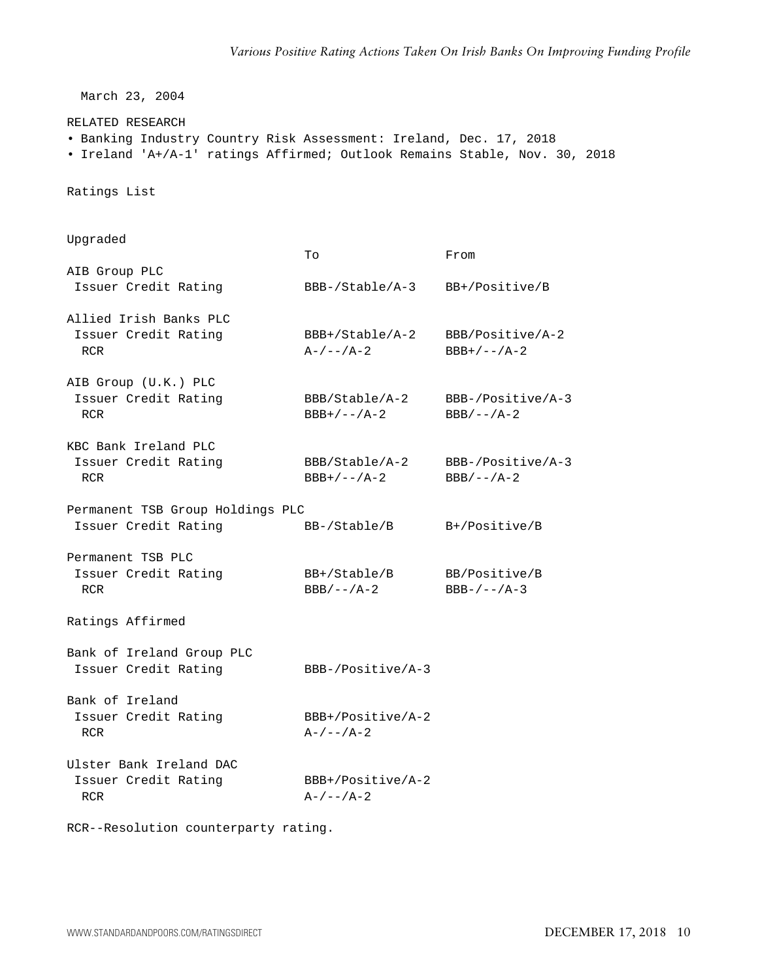March 23, 2004

RELATED RESEARCH

- Banking Industry Country Risk Assessment: Ireland, Dec. 17, 2018
- Ireland 'A+/A-1' ratings Affirmed; Outlook Remains Stable, Nov. 30, 2018

Ratings List

| Upgraded                                                      | To                                 | From                              |
|---------------------------------------------------------------|------------------------------------|-----------------------------------|
| AIB Group PLC                                                 |                                    |                                   |
| Issuer Credit Rating                                          | BBB-/Stable/A-3                    | BB+/Positive/B                    |
| Allied Irish Banks PLC<br>Issuer Credit Rating<br>RCR         | BBB+/Stable/A-2<br>$A-/--/A-2$     | BBB/Positive/A-2<br>$BBB+/--/A-2$ |
| AIB Group (U.K.) PLC<br>Issuer Credit Rating<br><b>RCR</b>    | BBB/Stable/A-2<br>$BBB+/--/A-2$    | BBB-/Positive/A-3<br>$BBB/--/A-2$ |
| KBC Bank Ireland PLC                                          |                                    |                                   |
| Issuer Credit Rating<br><b>RCR</b>                            | BBB/Stable/A-2<br>$BBB+/--/A-2$    | BBB-/Positive/A-3<br>$BBB/--/A-2$ |
| Permanent TSB Group Holdings PLC                              |                                    |                                   |
| Issuer Credit Rating                                          | BB-/Stable/B                       | B+/Positive/B                     |
| Permanent TSB PLC<br>Issuer Credit Rating<br><b>RCR</b>       | $BB+/Stable/B$<br>$BBB/--/A-2$     | BB/Positive/B<br>$BBB-/--/A-3$    |
| Ratings Affirmed                                              |                                    |                                   |
| Bank of Ireland Group PLC<br>Issuer Credit Rating             | $BBB-/Positive/A-3$                |                                   |
| Bank of Ireland<br>Issuer Credit Rating<br><b>RCR</b>         | $BBB+/Positive/A-2$<br>$A-/--/A-2$ |                                   |
| Ulster Bank Ireland DAC<br>Issuer Credit Rating<br><b>RCR</b> | BBB+/Positive/A-2<br>$A-/--/A-2$   |                                   |

RCR--Resolution counterparty rating.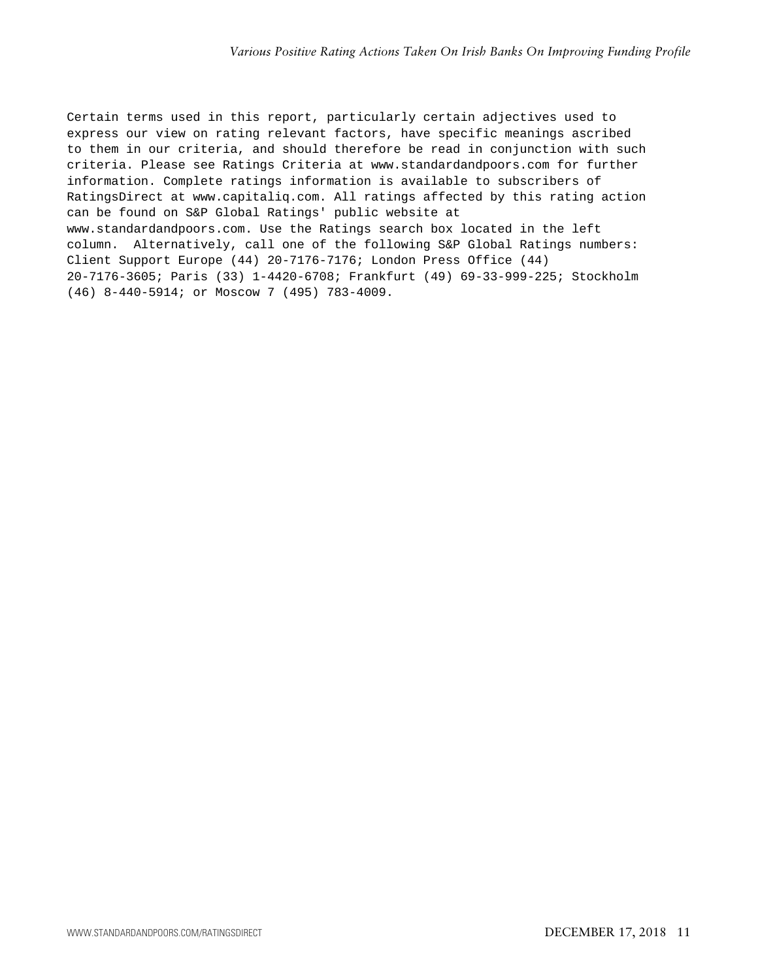Certain terms used in this report, particularly certain adjectives used to express our view on rating relevant factors, have specific meanings ascribed to them in our criteria, and should therefore be read in conjunction with such criteria. Please see Ratings Criteria at www.standardandpoors.com for further information. Complete ratings information is available to subscribers of RatingsDirect at www.capitaliq.com. All ratings affected by this rating action can be found on S&P Global Ratings' public website at www.standardandpoors.com. Use the Ratings search box located in the left column. Alternatively, call one of the following S&P Global Ratings numbers: Client Support Europe (44) 20-7176-7176; London Press Office (44) 20-7176-3605; Paris (33) 1-4420-6708; Frankfurt (49) 69-33-999-225; Stockholm (46) 8-440-5914; or Moscow 7 (495) 783-4009.